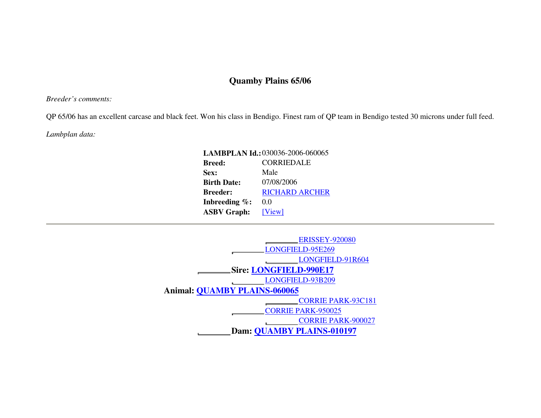## **Quamby Plains 65/06**

*Breeder's comments:* 

QP 65/06 has an excellent carcase and black feet. Won his class in Bendigo. Finest ram of QP team in Bendigo tested 30 microns under full feed.

*Lambplan data:* 

| LAMBPLAN Id.: 030036-2006-060065 |  |  |  |  |  |  |  |  |
|----------------------------------|--|--|--|--|--|--|--|--|
| <b>CORRIEDALE</b>                |  |  |  |  |  |  |  |  |
| Male                             |  |  |  |  |  |  |  |  |
| 07/08/2006                       |  |  |  |  |  |  |  |  |
| <b>RICHARD ARCHER</b>            |  |  |  |  |  |  |  |  |
| 0.0                              |  |  |  |  |  |  |  |  |
| [View]                           |  |  |  |  |  |  |  |  |
|                                  |  |  |  |  |  |  |  |  |

|                                     | <b>ERISSEY-920080</b>            |  |  |  |  |  |  |  |  |
|-------------------------------------|----------------------------------|--|--|--|--|--|--|--|--|
|                                     | LONGFIELD-95E269                 |  |  |  |  |  |  |  |  |
|                                     | LONGFIELD-91R604                 |  |  |  |  |  |  |  |  |
|                                     | <b>Sire: LONGFIELD-990E17</b>    |  |  |  |  |  |  |  |  |
|                                     | LONGFIELD-93B209                 |  |  |  |  |  |  |  |  |
| <b>Animal: QUAMBY PLAINS-060065</b> |                                  |  |  |  |  |  |  |  |  |
|                                     | <b>CORRIE PARK-93C181</b>        |  |  |  |  |  |  |  |  |
|                                     | <b>CORRIE PARK-950025</b>        |  |  |  |  |  |  |  |  |
|                                     | <b>CORRIE PARK-900027</b>        |  |  |  |  |  |  |  |  |
|                                     | <b>Dam: QUAMBY PLAINS-010197</b> |  |  |  |  |  |  |  |  |